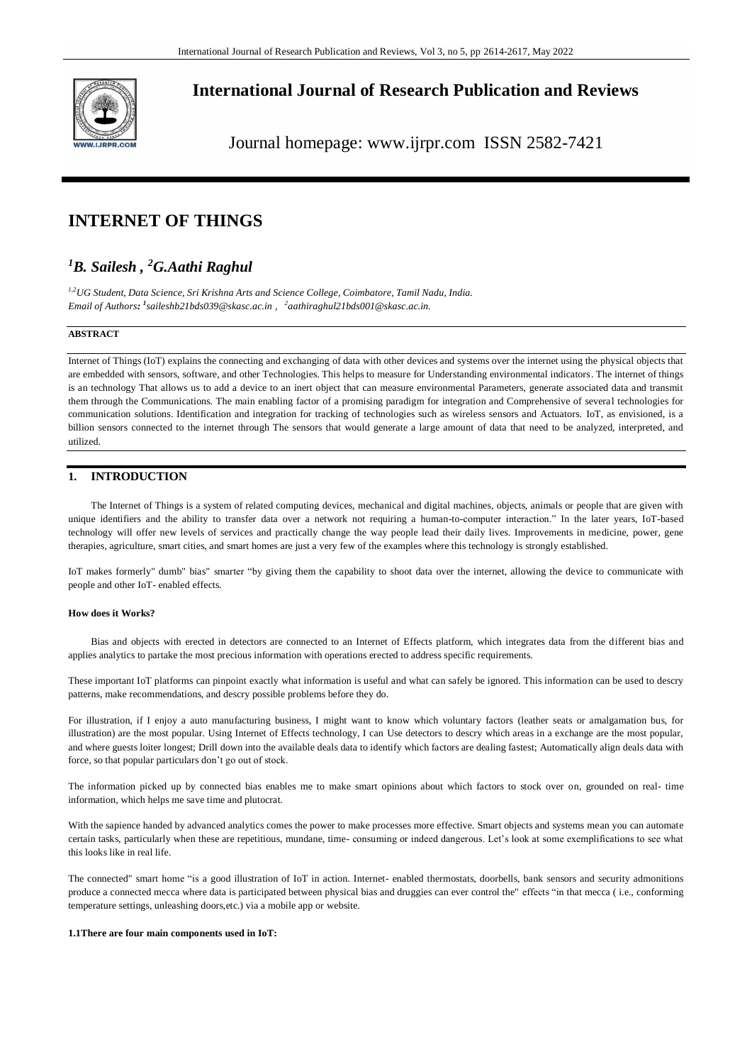

## **International Journal of Research Publication and Reviews**

Journal homepage: www.ijrpr.com ISSN 2582-7421

# **INTERNET OF THINGS**

## *<sup>1</sup>B. Sailesh , <sup>2</sup>G.Aathi Raghul*

*1,2UG Student, Data Science, Sri Krishna Arts and Science College, Coimbatore, Tamil Nadu, India. Email of Authors: 1 [saileshb21bds039@skasc.ac.in](mailto:1saileshb21bds039@skasc.ac.in) , 2 aathiraghul21bds001@skasc.ac.in.*

#### **ABSTRACT**

Internet of Things (IoT) explains the connecting and exchanging of data with other devices and systems over the internet using the physical objects that are embedded with sensors, software, and other Technologies. This helps to measure for Understanding environmental indicators. The internet of things is an technology That allows us to add a device to an inert object that can measure environmental Parameters, generate associated data and transmit them through the Communications. The main enabling factor of a promising paradigm for integration and Comprehensive of several technologies for communication solutions. Identification and integration for tracking of technologies such as wireless sensors and Actuators. IoT, as envisioned, is a billion sensors connected to the internet through The sensors that would generate a large amount of data that need to be analyzed, interpreted, and utilized.

## **1. INTRODUCTION**

The Internet of Things is a system of related computing devices, mechanical and digital machines, objects, animals or people that are given with unique identifiers and the ability to transfer data over a network not requiring a human-to-computer interaction." In the later years, IoT-based technology will offer new levels of services and practically change the way people lead their daily lives. Improvements in medicine, power, gene therapies, agriculture, smart cities, and smart homes are just a very few of the examples where this technology is strongly established.

IoT makes formerly" dumb" bias" smarter "by giving them the capability to shoot data over the internet, allowing the device to communicate with people and other IoT- enabled effects.

#### **How does it Works?**

Bias and objects with erected in detectors are connected to an Internet of Effects platform, which integrates data from the different bias and applies analytics to partake the most precious information with operations erected to address specific requirements.

These important IoT platforms can pinpoint exactly what information is useful and what can safely be ignored. This information can be used to descry patterns, make recommendations, and descry possible problems before they do.

For illustration, if I enjoy a auto manufacturing business, I might want to know which voluntary factors (leather seats or amalgamation bus, for illustration) are the most popular. Using Internet of Effects technology, I can Use detectors to descry which areas in a exchange are the most popular, and where guests loiter longest; Drill down into the available deals data to identify which factors are dealing fastest; Automatically align deals data with force, so that popular particulars don't go out of stock.

The information picked up by connected bias enables me to make smart opinions about which factors to stock over on, grounded on real- time information, which helps me save time and plutocrat.

With the sapience handed by advanced analytics comes the power to make processes more effective. Smart objects and systems mean you can automate certain tasks, particularly when these are repetitious, mundane, time- consuming or indeed dangerous. Let's look at some exemplifications to see what this looks like in real life.

The connected" smart home "is a good illustration of IoT in action. Internet- enabled thermostats, doorbells, bank sensors and security admonitions produce a connected mecca where data is participated between physical bias and druggies can ever control the" effects "in that mecca ( i.e., conforming temperature settings, unleashing doors,etc.) via a mobile app or website.

#### **1.1There are four main components used in IoT:**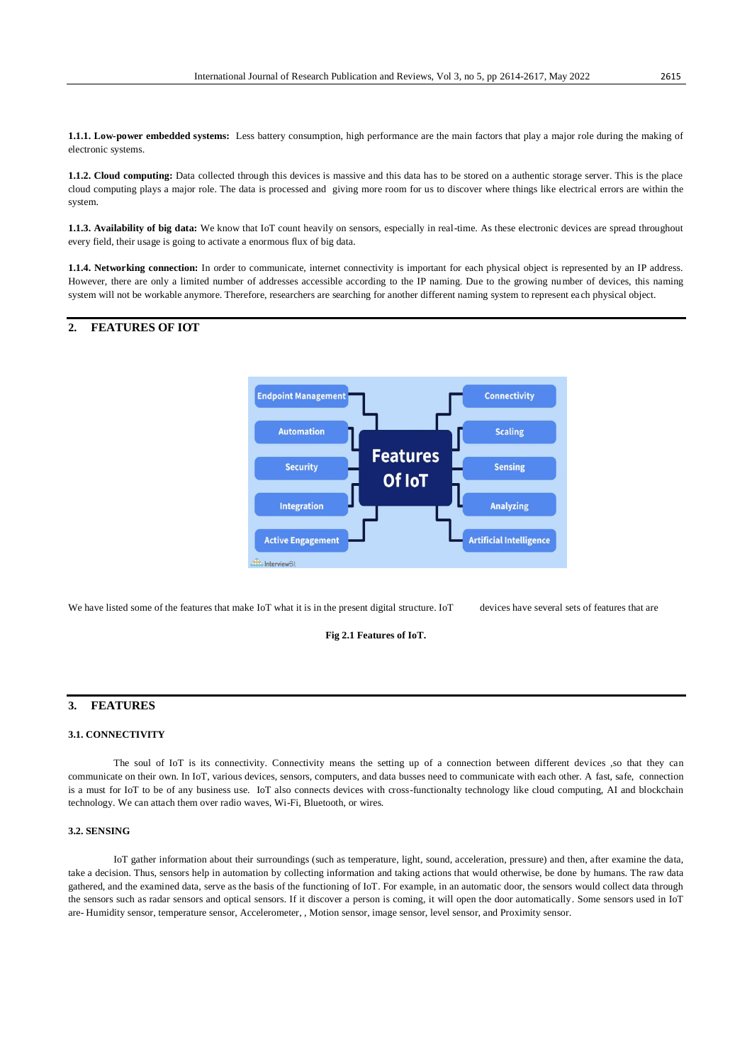**1.1.1. Low-power embedded systems:** Less battery consumption, high performance are the main factors that play a major role during the making of electronic systems.

**1.1.2. Cloud computing:** Data collected through this devices is massive and this data has to be stored on a authentic storage server. This is the place cloud computing plays a major role. The data is processed and giving more room for us to discover where things like electrical errors are within the system.

**1.1.3. Availability of big data:** We know that IoT count heavily on sensors, especially in real-time. As these electronic devices are spread throughout every field, their usage is going to activate a enormous flux of big data.

**1.1.4. Networking connection:** In order to communicate, internet connectivity is important for each physical object is represented by an IP address. However, there are only a limited number of addresses accessible according to the IP naming. Due to the growing number of devices, this naming system will not be workable anymore. Therefore, researchers are searching for another different naming system to represent ea ch physical object.

## **2. FEATURES OF IOT**



We have listed some of the features that make IoT what it is in the present digital structure. IoT devices have several sets of features that are

#### **Fig 2.1 Features of IoT.**

## **3. FEATURES**

#### **3.1. CONNECTIVITY**

The soul of IoT is its connectivity. Connectivity means the setting up of a connection between different devices ,so that they can communicate on their own. In IoT, various devices, sensors, computers, and data busses need to communicate with each other. A fast, safe, connection is a must for IoT to be of any business use. IoT also connects devices with cross-functionalty technology like cloud computing, AI and blockchain technology. We can attach them over radio waves, Wi-Fi, Bluetooth, or wires.

#### **3.2. SENSING**

IoT gather information about their surroundings (such as temperature, light, sound, acceleration, pressure) and then, after examine the data, take a decision. Thus, sensors help in automation by collecting information and taking actions that would otherwise, be done by humans. The raw data gathered, and the examined data, serve as the basis of the functioning of IoT. For example, in an automatic door, the sensors would collect data through the sensors such as radar sensors and optical sensors. If it discover a person is coming, it will open the door automatically. Some sensors used in IoT are- Humidity sensor, temperature sensor, Accelerometer, , Motion sensor, image sensor, level sensor, and Proximity sensor.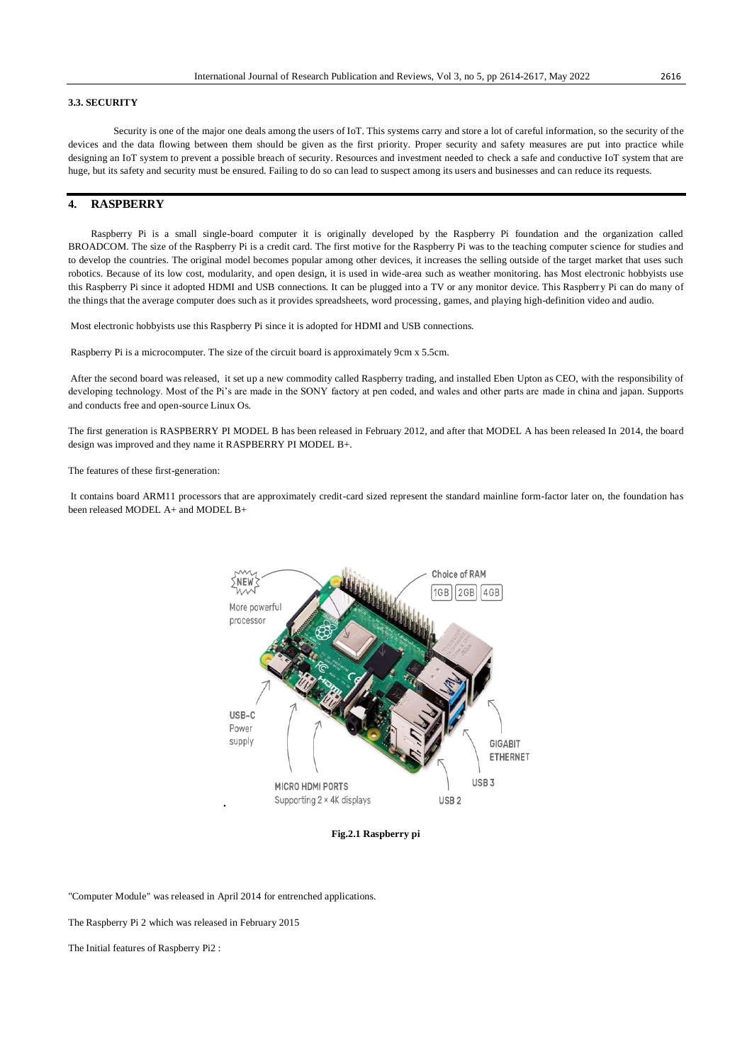#### **3.3. SECURITY**

Security is one of the major one deals among the users of IoT. This systems carry and store a lot of careful information, so the security of the devices and the data flowing between them should be given as the first priority. Proper security and safety measures are put into practice while designing an IoT system to prevent a possible breach of security. Resources and investment needed to check a safe and conductive IoT system that are huge, but its safety and security must be ensured. Failing to do so can lead to suspect among its users and businesses and can reduce its requests.

## **4. RASPBERRY**

Raspberry Pi is a small single-board computer it is originally developed by the Raspberry Pi foundation and the organization called BROADCOM. The size of the Raspberry Pi is a credit card. The first motive for the Raspberry Pi was to the teaching computer science for studies and to develop the countries. The original model becomes popular among other devices, it increases the selling outside of the target market that uses such robotics. Because of its low cost, modularity, and open design, it is used in wide-area such as weather monitoring. has Most electronic hobbyists use this Raspberry Pi since it adopted HDMI and USB connections. It can be plugged into a TV or any monitor device. This Raspberry Pi can do many of the things that the average computer does such as it provides spreadsheets, word processing, games, and playing high-definition video and audio.

Most electronic hobbyists use this Raspberry Pi since it is adopted for HDMI and USB connections.

Raspberry Pi is a microcomputer. The size of the circuit board is approximately 9cm x 5.5cm.

After the second board was released, it set up a new commodity called Raspberry trading, and installed Eben Upton as CEO, with the responsibility of developing technology. Most of the Pi's are made in the SONY factory at pen coded, and wales and other parts are made in china and japan. Supports and conducts free and open-source Linux Os.

The first generation is RASPBERRY PI MODEL B has been released in February 2012, and after that MODEL A has been released In 2014, the board design was improved and they name it RASPBERRY PI MODEL B+.

The features of these first-generation:

It contains board ARM11 processors that are approximately credit-card sized represent the standard mainline form-factor later on, the foundation has been released MODEL A+ and MODEL B+



**Fig.2.1 Raspberry pi**

"Computer Module" was released in April 2014 for entrenched applications.

The Raspberry Pi 2 which was released in February 2015

The Initial features of Raspberry Pi2 :